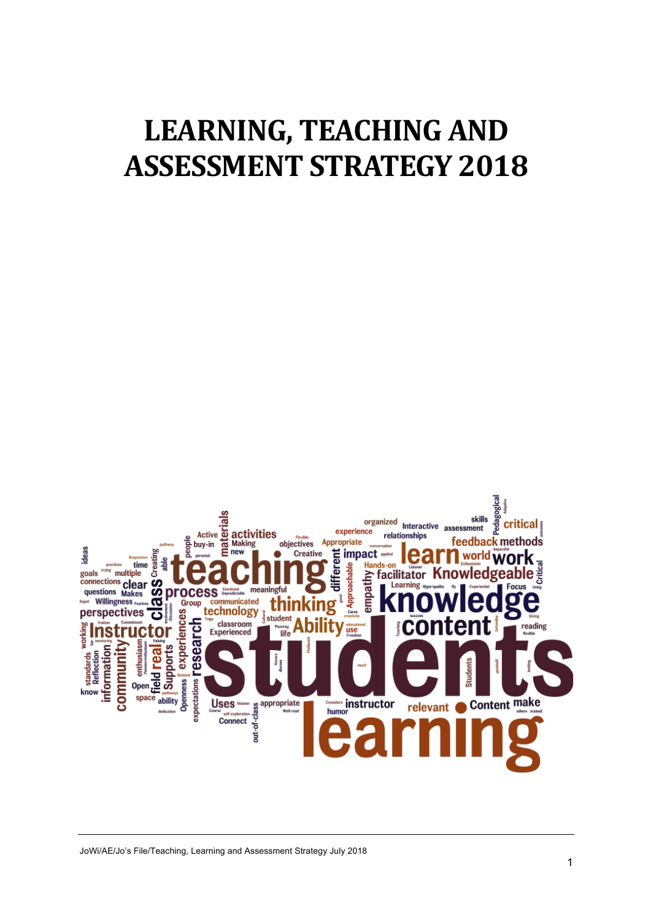# **LEARNING, TEACHING AND ASSESSMENT STRATEGY 2018**

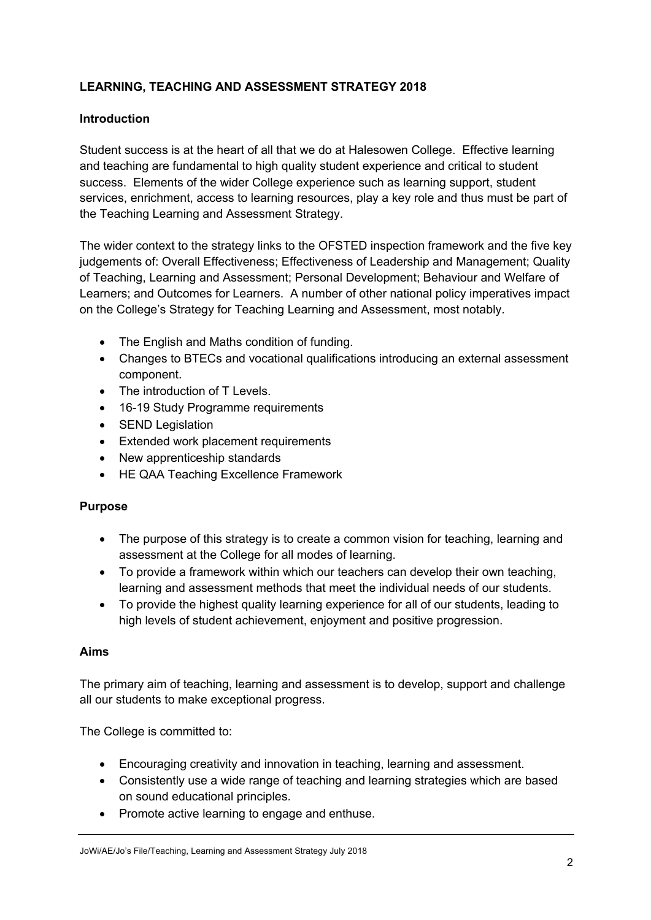## **LEARNING, TEACHING AND ASSESSMENT STRATEGY 2018**

### **Introduction**

Student success is at the heart of all that we do at Halesowen College. Effective learning and teaching are fundamental to high quality student experience and critical to student success. Elements of the wider College experience such as learning support, student services, enrichment, access to learning resources, play a key role and thus must be part of the Teaching Learning and Assessment Strategy.

The wider context to the strategy links to the OFSTED inspection framework and the five key judgements of: Overall Effectiveness; Effectiveness of Leadership and Management; Quality of Teaching, Learning and Assessment; Personal Development; Behaviour and Welfare of Learners; and Outcomes for Learners. A number of other national policy imperatives impact on the College's Strategy for Teaching Learning and Assessment, most notably.

- The English and Maths condition of funding.
- Changes to BTECs and vocational qualifications introducing an external assessment component.
- The introduction of T Levels.
- 16-19 Study Programme requirements
- **SEND Legislation**
- Extended work placement requirements
- New apprenticeship standards
- HE QAA Teaching Excellence Framework

#### **Purpose**

- The purpose of this strategy is to create a common vision for teaching, learning and assessment at the College for all modes of learning.
- To provide a framework within which our teachers can develop their own teaching, learning and assessment methods that meet the individual needs of our students.
- To provide the highest quality learning experience for all of our students, leading to high levels of student achievement, enjoyment and positive progression.

#### **Aims**

The primary aim of teaching, learning and assessment is to develop, support and challenge all our students to make exceptional progress.

The College is committed to:

- Encouraging creativity and innovation in teaching, learning and assessment.
- Consistently use a wide range of teaching and learning strategies which are based on sound educational principles.
- Promote active learning to engage and enthuse.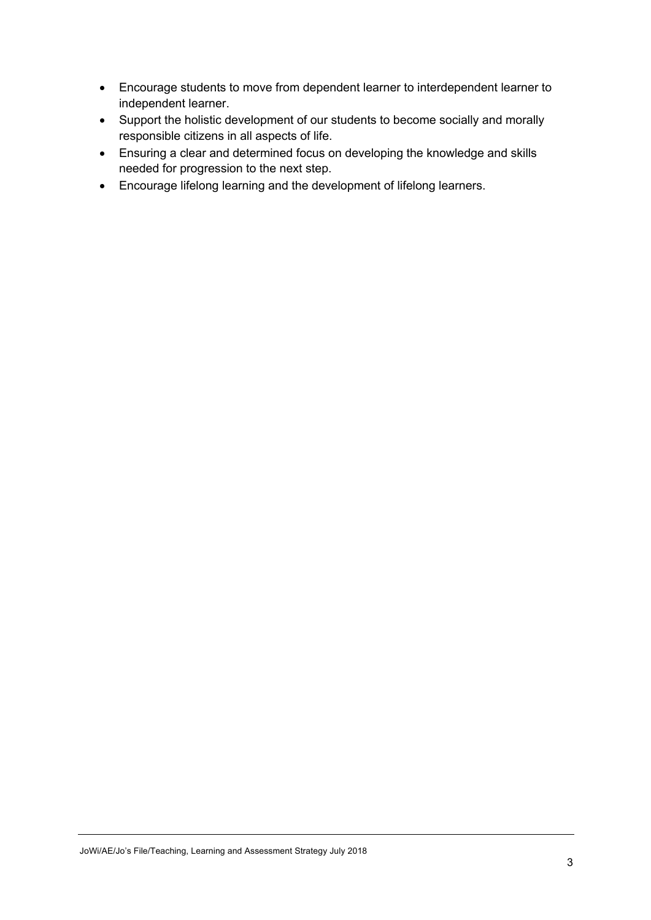- Encourage students to move from dependent learner to interdependent learner to independent learner.
- Support the holistic development of our students to become socially and morally responsible citizens in all aspects of life.
- Ensuring a clear and determined focus on developing the knowledge and skills needed for progression to the next step.
- Encourage lifelong learning and the development of lifelong learners.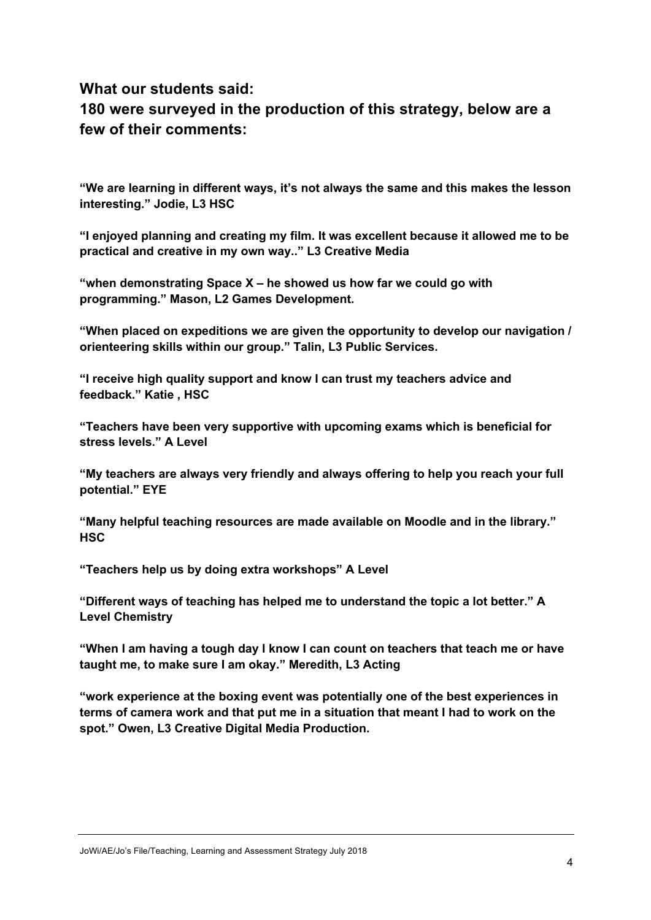## **What our students said:**

# **180 were surveyed in the production of this strategy, below are a few of their comments:**

**"We are learning in different ways, it's not always the same and this makes the lesson interesting." Jodie, L3 HSC**

**"I enjoyed planning and creating my film. It was excellent because it allowed me to be practical and creative in my own way.." L3 Creative Media**

**"when demonstrating Space X – he showed us how far we could go with programming." Mason, L2 Games Development.**

**"When placed on expeditions we are given the opportunity to develop our navigation / orienteering skills within our group." Talin, L3 Public Services.**

**"I receive high quality support and know I can trust my teachers advice and feedback." Katie , HSC**

**"Teachers have been very supportive with upcoming exams which is beneficial for stress levels." A Level**

**"My teachers are always very friendly and always offering to help you reach your full potential." EYE**

**"Many helpful teaching resources are made available on Moodle and in the library." HSC**

**"Teachers help us by doing extra workshops" A Level**

**"Different ways of teaching has helped me to understand the topic a lot better." A Level Chemistry**

**"When I am having a tough day I know I can count on teachers that teach me or have taught me, to make sure I am okay." Meredith, L3 Acting**

**"work experience at the boxing event was potentially one of the best experiences in terms of camera work and that put me in a situation that meant I had to work on the spot." Owen, L3 Creative Digital Media Production.**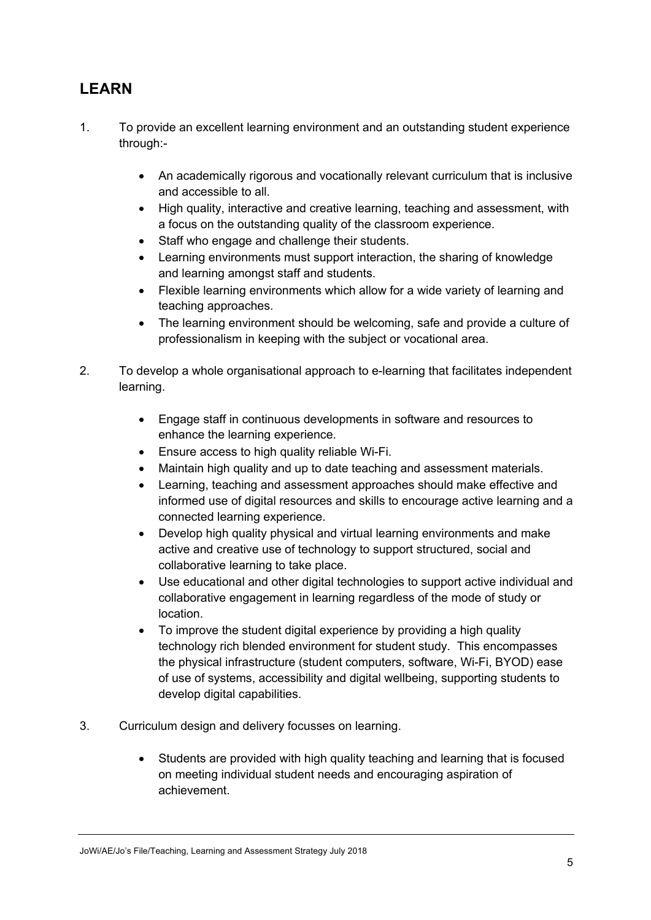# **LEARN**

- 1. To provide an excellent learning environment and an outstanding student experience through:-
	- An academically rigorous and vocationally relevant curriculum that is inclusive and accessible to all.
	- High quality, interactive and creative learning, teaching and assessment, with a focus on the outstanding quality of the classroom experience.
	- Staff who engage and challenge their students.
	- Learning environments must support interaction, the sharing of knowledge and learning amongst staff and students.
	- Flexible learning environments which allow for a wide variety of learning and teaching approaches.
	- The learning environment should be welcoming, safe and provide a culture of professionalism in keeping with the subject or vocational area.
- 2. To develop a whole organisational approach to e-learning that facilitates independent learning.
	- Engage staff in continuous developments in software and resources to enhance the learning experience.
	- Ensure access to high quality reliable Wi-Fi.
	- Maintain high quality and up to date teaching and assessment materials.
	- Learning, teaching and assessment approaches should make effective and informed use of digital resources and skills to encourage active learning and a connected learning experience.
	- Develop high quality physical and virtual learning environments and make active and creative use of technology to support structured, social and collaborative learning to take place.
	- Use educational and other digital technologies to support active individual and collaborative engagement in learning regardless of the mode of study or location.
	- To improve the student digital experience by providing a high quality technology rich blended environment for student study. This encompasses the physical infrastructure (student computers, software, Wi-Fi, BYOD) ease of use of systems, accessibility and digital wellbeing, supporting students to develop digital capabilities.
- 3. Curriculum design and delivery focusses on learning.
	- Students are provided with high quality teaching and learning that is focused on meeting individual student needs and encouraging aspiration of achievement.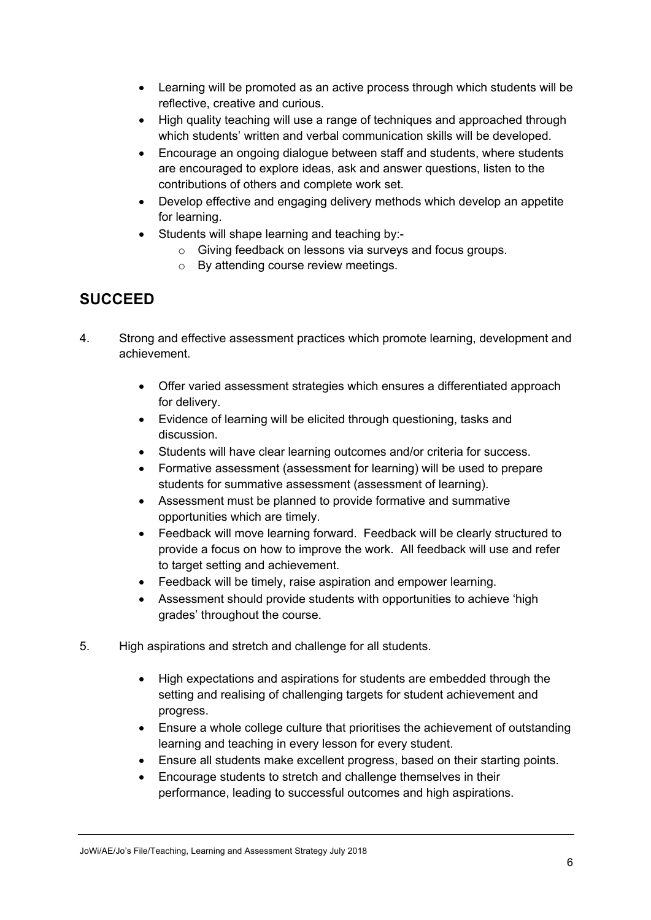- Learning will be promoted as an active process through which students will be reflective, creative and curious.
- High quality teaching will use a range of techniques and approached through which students' written and verbal communication skills will be developed.
- Encourage an ongoing dialogue between staff and students, where students are encouraged to explore ideas, ask and answer questions, listen to the contributions of others and complete work set.
- Develop effective and engaging delivery methods which develop an appetite for learning.
- Students will shape learning and teaching by:
	- o Giving feedback on lessons via surveys and focus groups.
	- o By attending course review meetings.

## **SUCCEED**

- 4. Strong and effective assessment practices which promote learning, development and achievement.
	- Offer varied assessment strategies which ensures a differentiated approach for delivery.
	- Evidence of learning will be elicited through questioning, tasks and discussion.
	- Students will have clear learning outcomes and/or criteria for success.
	- Formative assessment (assessment for learning) will be used to prepare students for summative assessment (assessment of learning).
	- Assessment must be planned to provide formative and summative opportunities which are timely.
	- Feedback will move learning forward. Feedback will be clearly structured to provide a focus on how to improve the work. All feedback will use and refer to target setting and achievement.
	- Feedback will be timely, raise aspiration and empower learning.
	- Assessment should provide students with opportunities to achieve 'high grades' throughout the course.
- 5. High aspirations and stretch and challenge for all students.
	- High expectations and aspirations for students are embedded through the setting and realising of challenging targets for student achievement and progress.
	- Ensure a whole college culture that prioritises the achievement of outstanding learning and teaching in every lesson for every student.
	- Ensure all students make excellent progress, based on their starting points.
	- Encourage students to stretch and challenge themselves in their performance, leading to successful outcomes and high aspirations.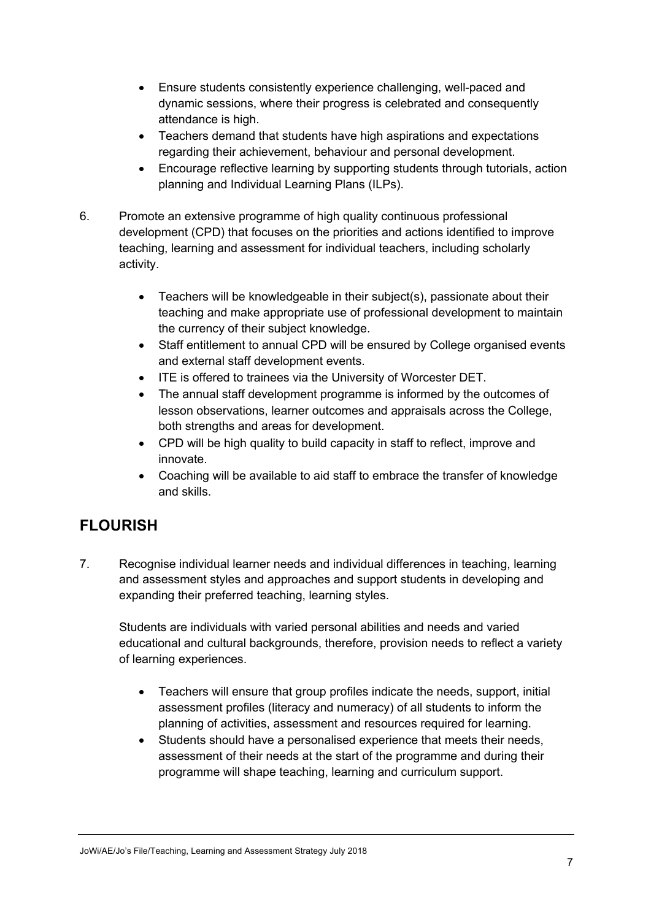- Ensure students consistently experience challenging, well-paced and dynamic sessions, where their progress is celebrated and consequently attendance is high.
- Teachers demand that students have high aspirations and expectations regarding their achievement, behaviour and personal development.
- Encourage reflective learning by supporting students through tutorials, action planning and Individual Learning Plans (ILPs).
- 6. Promote an extensive programme of high quality continuous professional development (CPD) that focuses on the priorities and actions identified to improve teaching, learning and assessment for individual teachers, including scholarly activity.
	- Teachers will be knowledgeable in their subject(s), passionate about their teaching and make appropriate use of professional development to maintain the currency of their subject knowledge.
	- Staff entitlement to annual CPD will be ensured by College organised events and external staff development events.
	- ITE is offered to trainees via the University of Worcester DET.
	- The annual staff development programme is informed by the outcomes of lesson observations, learner outcomes and appraisals across the College, both strengths and areas for development.
	- CPD will be high quality to build capacity in staff to reflect, improve and innovate.
	- Coaching will be available to aid staff to embrace the transfer of knowledge and skills.

# **FLOURISH**

7. Recognise individual learner needs and individual differences in teaching, learning and assessment styles and approaches and support students in developing and expanding their preferred teaching, learning styles.

Students are individuals with varied personal abilities and needs and varied educational and cultural backgrounds, therefore, provision needs to reflect a variety of learning experiences.

- Teachers will ensure that group profiles indicate the needs, support, initial assessment profiles (literacy and numeracy) of all students to inform the planning of activities, assessment and resources required for learning.
- Students should have a personalised experience that meets their needs, assessment of their needs at the start of the programme and during their programme will shape teaching, learning and curriculum support.